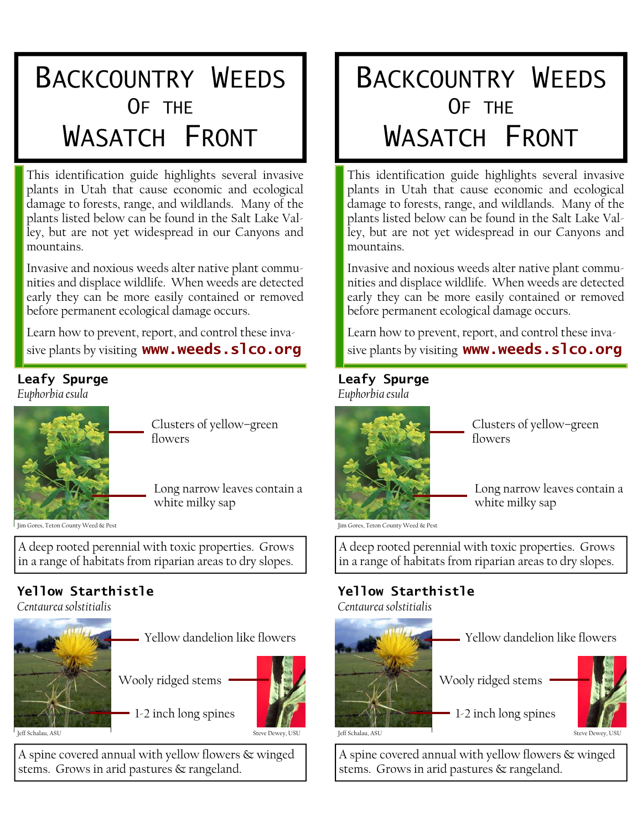# BACKCOUNTRY WEEDS WASATCH FRONT

This identification guide highlights several invasive plants in Utah that cause economic and ecological damage to forests, range, and wildlands. Many of the plants listed below can be found in the Salt Lake Valley, but are not yet widespread in our Canyons and mountains.

Invasive and noxious weeds alter native plant communities and displace wildlife. When weeds are detected early they can be more easily contained or removed before permanent ecological damage occurs.

Learn how to prevent, report, and control these invasive plants by visiting **www.weeds.slco.org** 

#### **Leafy Spurge**  *Euphorbia esula*



Clusters of yellow–green flowers

Long narrow leaves contain a white milky sap

Jim Gores, Teton County Weed & Pest

A deep rooted perennial with toxic properties. Grows in a range of habitats from riparian areas to dry slopes.

## **Yellow Starthistle**

*Centaurea solstitialis* 



Yellow dandelion like flowers

Wooly ridged stems

1-2 inch long spines



A spine covered annual with yellow flowers & winged

stems. Grows in arid pastures & rangeland.

# BACKCOUNTRY WEEDS WASATCH FRONT

This identification guide highlights several invasive plants in Utah that cause economic and ecological damage to forests, range, and wildlands. Many of the plants listed below can be found in the Salt Lake Valley, but are not yet widespread in our Canyons and mountains.

Invasive and noxious weeds alter native plant communities and displace wildlife. When weeds are detected early they can be more easily contained or removed before permanent ecological damage occurs.

Learn how to prevent, report, and control these invasive plants by visiting **www.weeds.slco.org** 

#### **Leafy Spurge**

*Euphorbia esula*



Clusters of yellow–green flowers

Long narrow leaves contain a white milky sap

Jim Gores, Teton County Weed & Pest

A deep rooted perennial with toxic properties. Grows in a range of habitats from riparian areas to dry slopes.

#### **Yellow Starthistle**  *Centaurea solstitialis*



A spine covered annual with yellow flowers & winged stems. Grows in arid pastures & rangeland.